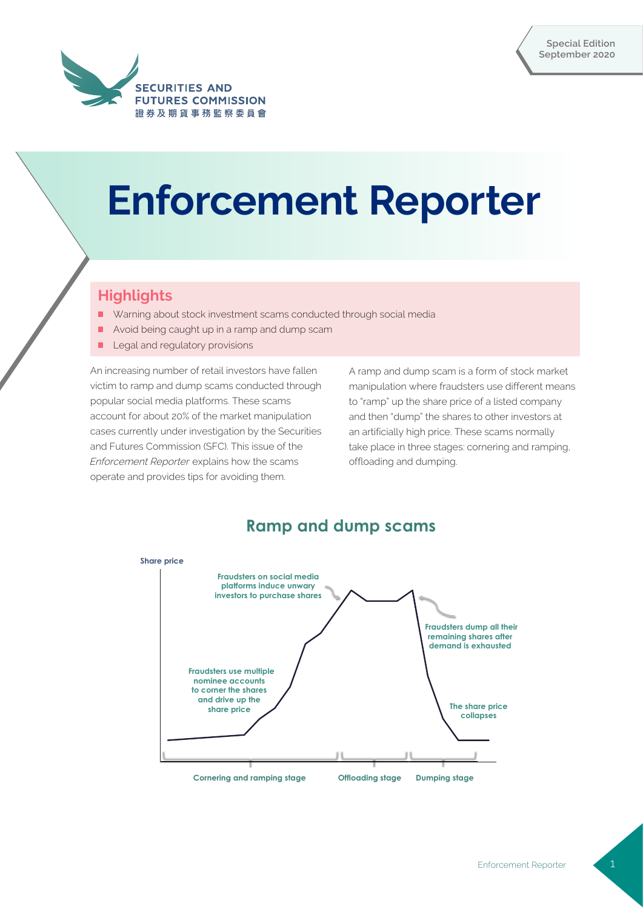

# **Enforcement Reporter**

# **Highlights**

- Warning about stock investment scams conducted through social media
- Avoid being caught up in a ramp and dump scam
- Legal and regulatory provisions

An increasing number of retail investors have fallen victim to ramp and dump scams conducted through popular social media platforms. These scams account for about 20% of the market manipulation cases currently under investigation by the Securities and Futures Commission (SFC). This issue of the Enforcement Reporter explains how the scams operate and provides tips for avoiding them.

A ramp and dump scam is a form of stock market manipulation where fraudsters use different means to "ramp" up the share price of a listed company and then "dump" the shares to other investors at an artificially high price. These scams normally take place in three stages: cornering and ramping, offloading and dumping.



# **Ramp and dump scams**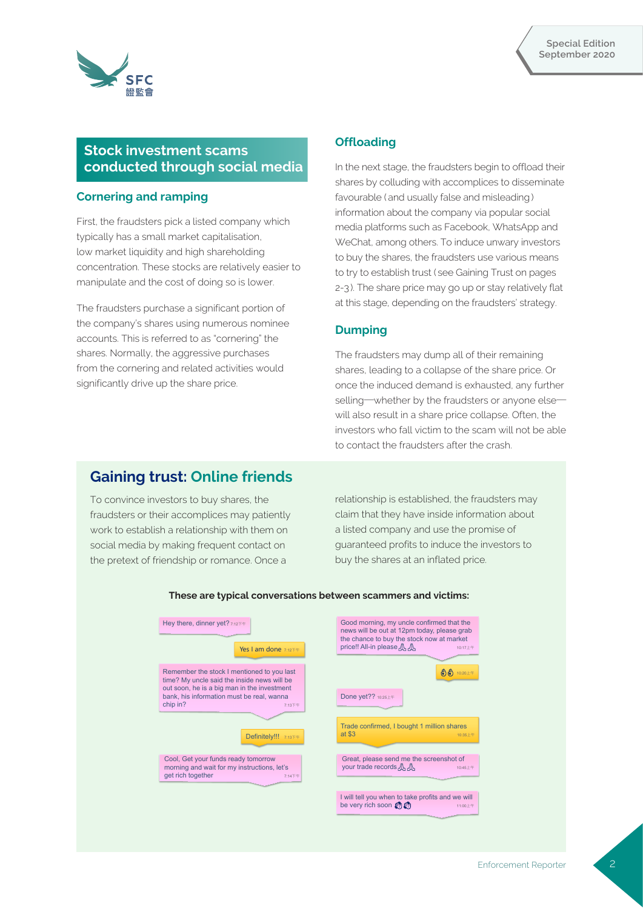



# **Stock investment scams conducted through social media**

#### **Cornering and ramping**

First, the fraudsters pick a listed company which typically has a small market capitalisation, low market liquidity and high shareholding concentration. These stocks are relatively easier to manipulate and the cost of doing so is lower.

The fraudsters purchase a significant portion of the company's shares using numerous nominee accounts. This is referred to as "cornering" the shares. Normally, the aggressive purchases from the cornering and related activities would significantly drive up the share price.

## **Offloading**

In the next stage, the fraudsters begin to offload their shares by colluding with accomplices to disseminate favourable ( and usually false and misleading ) information about the company via popular social media platforms such as Facebook, WhatsApp and WeChat, among others. To induce unwary investors to buy the shares, the fraudsters use various means to try to establish trust ( see Gaining Trust on pages 2-3 ). The share price may go up or stay relatively flat at this stage, depending on the fraudsters' strategy.

#### **Dumping**

The fraudsters may dump all of their remaining shares, leading to a collapse of the share price. Or once the induced demand is exhausted, any further selling—whether by the fraudsters or anyone elsewill also result in a share price collapse. Often, the investors who fall victim to the scam will not be able to contact the fraudsters after the crash.

# **Gaining trust: Online friends**

To convince investors to buy shares, the fraudsters or their accomplices may patiently work to establish a relationship with them on social media by making frequent contact on the pretext of friendship or romance. Once a

relationship is established, the fraudsters may claim that they have inside information about a listed company and use the promise of guaranteed profits to induce the investors to buy the shares at an inflated price.

| Hey there, dinner yet? 7:12F#<br>Yes I am done $7:125 + 4$                                                                               | Good morning, my uncle confirmed that the<br>news will be out at 12pm today, please grab<br>the chance to buy the stock now at market<br>price!! All-in please A.<br>10:17上午 |
|------------------------------------------------------------------------------------------------------------------------------------------|------------------------------------------------------------------------------------------------------------------------------------------------------------------------------|
| Remember the stock I mentioned to you last<br>time? My uncle said the inside news will be<br>out soon, he is a big man in the investment | $\bigcirc$ $\bigcirc$ 10:20 $\pm$ $\mp$                                                                                                                                      |
| bank, his information must be real, wanna<br>chip in?<br>7:13下午                                                                          | Done yet?? 10:25 Lff                                                                                                                                                         |
| Definitely!!! 7:13F#                                                                                                                     | Trade confirmed, I bought 1 million shares<br>at \$3<br>10:35上午                                                                                                              |
| Cool, Get your funds ready tomorrow<br>morning and wait for my instructions, let's<br>get rich together<br>7:14下午                        | Great, please send me the screenshot of<br>your trade records A<br>10:45上午                                                                                                   |
|                                                                                                                                          | I will tell you when to take profits and we will<br>be very rich soon (<br>11:00上午                                                                                           |

#### **These are typical conversations between scammers and victims:**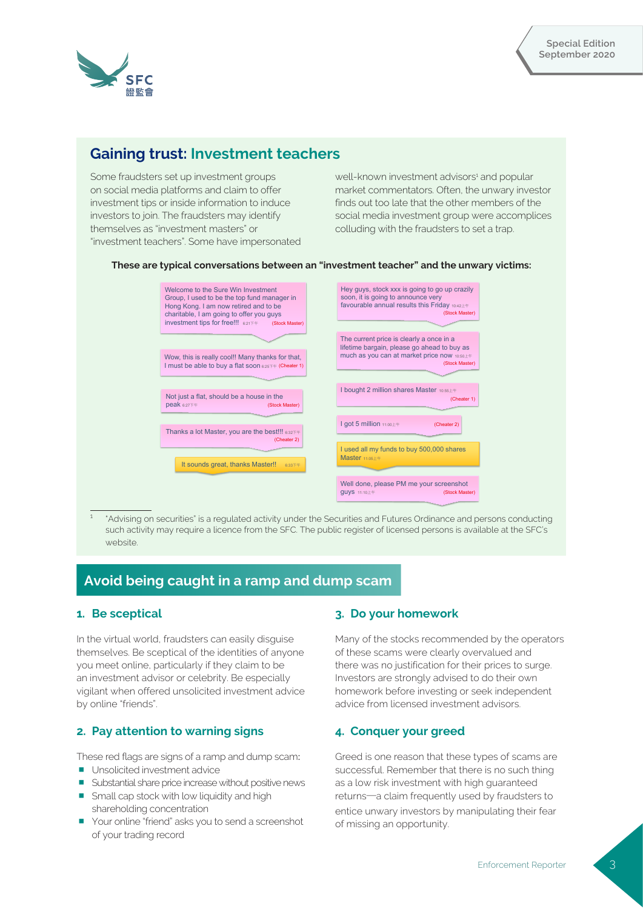

# **Gaining trust: Investment teachers**

Some fraudsters set up investment groups on social media platforms and claim to offer investment tips or inside information to induce investors to join. The fraudsters may identify themselves as "investment masters" or "investment teachers". Some have impersonated

well-known investment advisors<sup>1</sup> and popular market commentators. Often, the unwary investor finds out too late that the other members of the social media investment group were accomplices colluding with the fraudsters to set a trap.



#### **These are typical conversations between an "investment teacher" and the unwary victims:**

 "Advising on securities" is a regulated activity under the Securities and Futures Ordinance and persons conducting such activity may require a licence from the SFC. The public register of licensed persons is available at the SFC's website.

# **Avoid being caught in a ramp and dump scam**

## **1. Be sceptical**

In the virtual world, fraudsters can easily disguise themselves. Be sceptical of the identities of anyone you meet online, particularly if they claim to be an investment advisor or celebrity. Be especially vigilant when offered unsolicited investment advice by online "friends".

## **2. Pay attention to warning signs**

- These red flags are signs of a ramp and dump scam:
- Unsolicited investment advice
- **E** Substantial share price increase without positive news
- **Small cap stock with low liquidity and high** shareholding concentration
- Your online "friend" asks you to send a screenshot of your trading record

## **3. Do your homework**

Many of the stocks recommended by the operators of these scams were clearly overvalued and there was no justification for their prices to surge. Investors are strongly advised to do their own homework before investing or seek independent advice from licensed investment advisors.

## **4. Conquer your greed**

Greed is one reason that these types of scams are successful. Remember that there is no such thing as a low risk investment with high guaranteed returns—a claim frequently used by fraudsters to entice unwary investors by manipulating their fear of missing an opportunity.